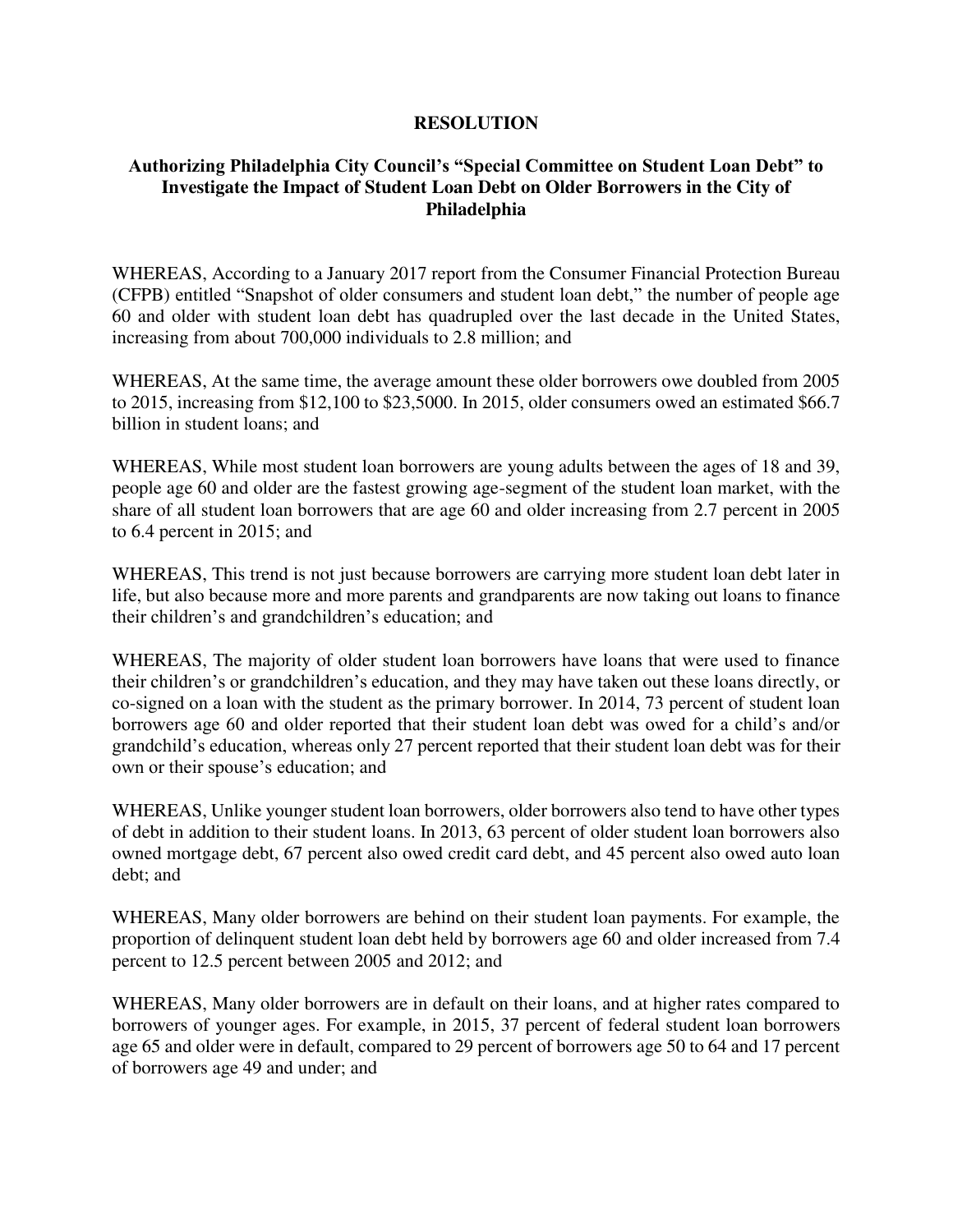## **RESOLUTION**

## **Authorizing Philadelphia City Council's "Special Committee on Student Loan Debt" to Investigate the Impact of Student Loan Debt on Older Borrowers in the City of Philadelphia**

WHEREAS, According to a January 2017 report from the Consumer Financial Protection Bureau (CFPB) entitled "Snapshot of older consumers and student loan debt," the number of people age 60 and older with student loan debt has quadrupled over the last decade in the United States, increasing from about 700,000 individuals to 2.8 million; and

WHEREAS, At the same time, the average amount these older borrowers owe doubled from 2005 to 2015, increasing from \$12,100 to \$23,5000. In 2015, older consumers owed an estimated \$66.7 billion in student loans; and

WHEREAS, While most student loan borrowers are young adults between the ages of 18 and 39, people age 60 and older are the fastest growing age-segment of the student loan market, with the share of all student loan borrowers that are age 60 and older increasing from 2.7 percent in 2005 to 6.4 percent in 2015; and

WHEREAS, This trend is not just because borrowers are carrying more student loan debt later in life, but also because more and more parents and grandparents are now taking out loans to finance their children's and grandchildren's education; and

WHEREAS, The majority of older student loan borrowers have loans that were used to finance their children's or grandchildren's education, and they may have taken out these loans directly, or co-signed on a loan with the student as the primary borrower. In 2014, 73 percent of student loan borrowers age 60 and older reported that their student loan debt was owed for a child's and/or grandchild's education, whereas only 27 percent reported that their student loan debt was for their own or their spouse's education; and

WHEREAS, Unlike younger student loan borrowers, older borrowers also tend to have other types of debt in addition to their student loans. In 2013, 63 percent of older student loan borrowers also owned mortgage debt, 67 percent also owed credit card debt, and 45 percent also owed auto loan debt; and

WHEREAS, Many older borrowers are behind on their student loan payments. For example, the proportion of delinquent student loan debt held by borrowers age 60 and older increased from 7.4 percent to 12.5 percent between 2005 and 2012; and

WHEREAS, Many older borrowers are in default on their loans, and at higher rates compared to borrowers of younger ages. For example, in 2015, 37 percent of federal student loan borrowers age 65 and older were in default, compared to 29 percent of borrowers age 50 to 64 and 17 percent of borrowers age 49 and under; and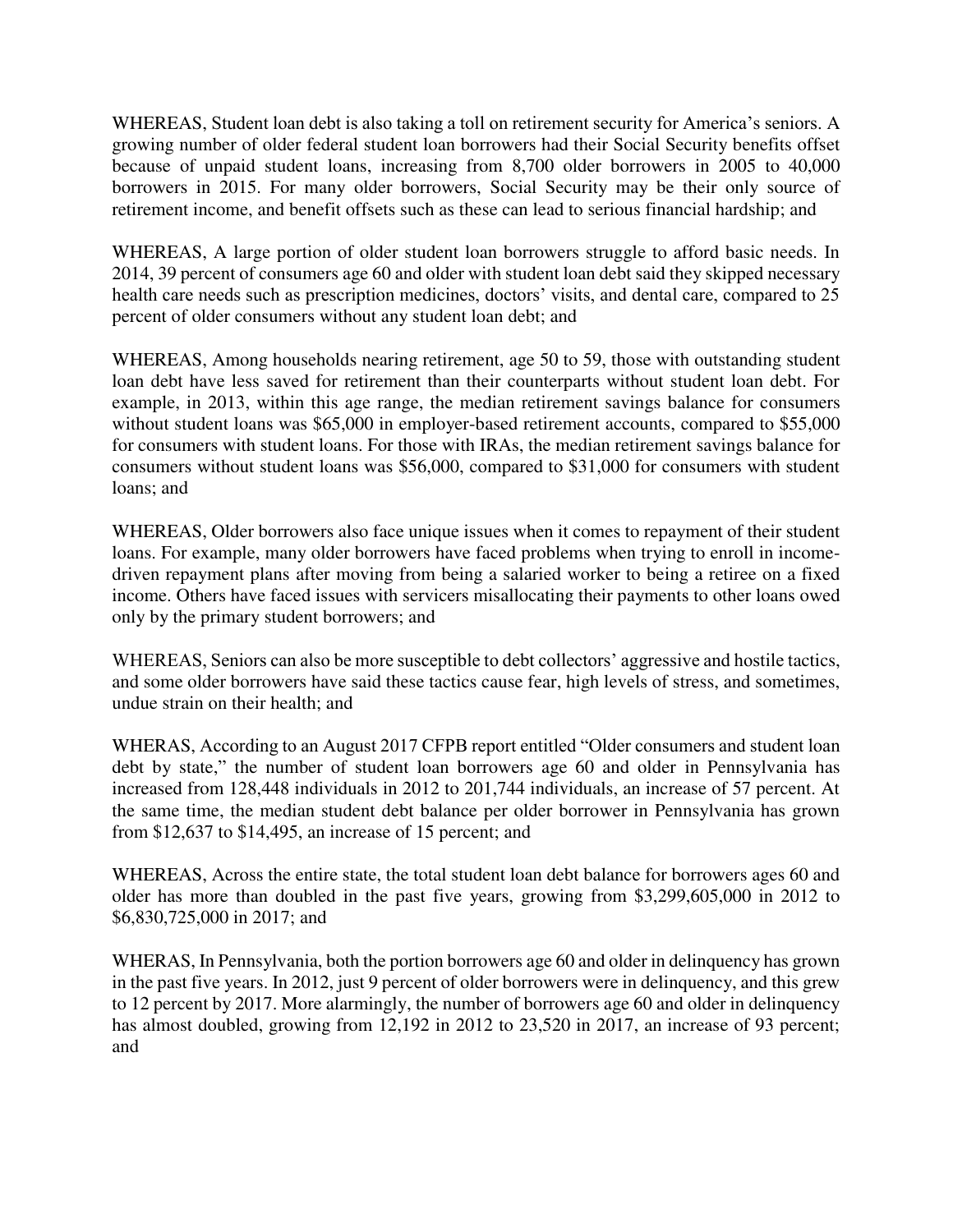WHEREAS, Student loan debt is also taking a toll on retirement security for America's seniors. A growing number of older federal student loan borrowers had their Social Security benefits offset because of unpaid student loans, increasing from 8,700 older borrowers in 2005 to 40,000 borrowers in 2015. For many older borrowers, Social Security may be their only source of retirement income, and benefit offsets such as these can lead to serious financial hardship; and

WHEREAS, A large portion of older student loan borrowers struggle to afford basic needs. In 2014, 39 percent of consumers age 60 and older with student loan debt said they skipped necessary health care needs such as prescription medicines, doctors' visits, and dental care, compared to 25 percent of older consumers without any student loan debt; and

WHEREAS, Among households nearing retirement, age 50 to 59, those with outstanding student loan debt have less saved for retirement than their counterparts without student loan debt. For example, in 2013, within this age range, the median retirement savings balance for consumers without student loans was \$65,000 in employer-based retirement accounts, compared to \$55,000 for consumers with student loans. For those with IRAs, the median retirement savings balance for consumers without student loans was \$56,000, compared to \$31,000 for consumers with student loans; and

WHEREAS, Older borrowers also face unique issues when it comes to repayment of their student loans. For example, many older borrowers have faced problems when trying to enroll in incomedriven repayment plans after moving from being a salaried worker to being a retiree on a fixed income. Others have faced issues with servicers misallocating their payments to other loans owed only by the primary student borrowers; and

WHEREAS, Seniors can also be more susceptible to debt collectors' aggressive and hostile tactics, and some older borrowers have said these tactics cause fear, high levels of stress, and sometimes, undue strain on their health; and

WHERAS, According to an August 2017 CFPB report entitled "Older consumers and student loan debt by state," the number of student loan borrowers age 60 and older in Pennsylvania has increased from 128,448 individuals in 2012 to 201,744 individuals, an increase of 57 percent. At the same time, the median student debt balance per older borrower in Pennsylvania has grown from \$12,637 to \$14,495, an increase of 15 percent; and

WHEREAS, Across the entire state, the total student loan debt balance for borrowers ages 60 and older has more than doubled in the past five years, growing from \$3,299,605,000 in 2012 to \$6,830,725,000 in 2017; and

WHERAS, In Pennsylvania, both the portion borrowers age 60 and older in delinquency has grown in the past five years. In 2012, just 9 percent of older borrowers were in delinquency, and this grew to 12 percent by 2017. More alarmingly, the number of borrowers age 60 and older in delinquency has almost doubled, growing from 12,192 in 2012 to 23,520 in 2017, an increase of 93 percent; and